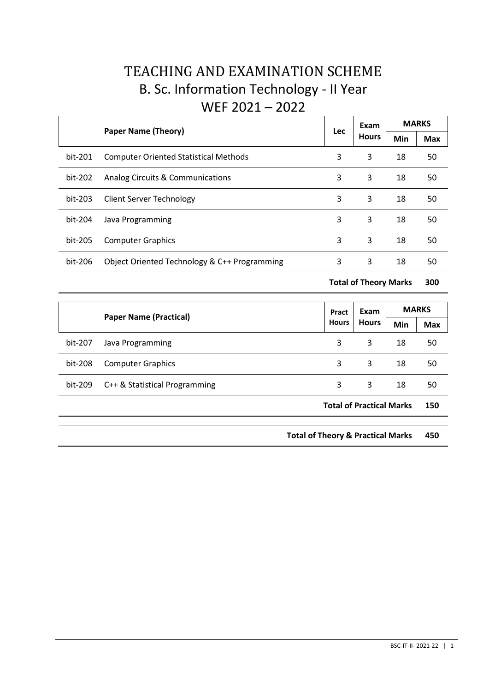# TEACHING AND EXAMINATION SCHEME B. Sc. Information Technology - II Year WEF 2021 – 2022

| <b>Paper Name (Theory)</b> |                                              | Lec | Exam<br><b>Hours</b> | <b>MARKS</b> |            |
|----------------------------|----------------------------------------------|-----|----------------------|--------------|------------|
|                            |                                              |     |                      | Min          | <b>Max</b> |
| bit-201                    | <b>Computer Oriented Statistical Methods</b> | 3   | 3                    | 18           | 50         |
| bit-202                    | Analog Circuits & Communications             | 3   | 3                    | 18           | 50         |
| bit-203                    | Client Server Technology                     | 3   | 3                    | 18           | 50         |
| bit-204                    | Java Programming                             | 3   | 3                    | 18           | 50         |
| bit-205                    | <b>Computer Graphics</b>                     | 3   | 3                    | 18           | 50         |
| bit-206                    | Object Oriented Technology & C++ Programming | 3   | 3                    | 18           | 50         |

**Total of Theory Marks 300**

|         |                               | Pract        | Exam<br><b>Hours</b>            | <b>MARKS</b> |            |
|---------|-------------------------------|--------------|---------------------------------|--------------|------------|
|         | <b>Paper Name (Practical)</b> | <b>Hours</b> |                                 | Min          | <b>Max</b> |
| bit-207 | Java Programming              | 3            | 3                               | 18           | 50         |
| bit-208 | <b>Computer Graphics</b>      | 3            | 3                               | 18           | 50         |
| bit-209 | C++ & Statistical Programming | 3            | 3                               | 18           | 50         |
|         |                               |              | <b>Total of Practical Marks</b> |              | 150        |

**Total of Theory & Practical Marks 450**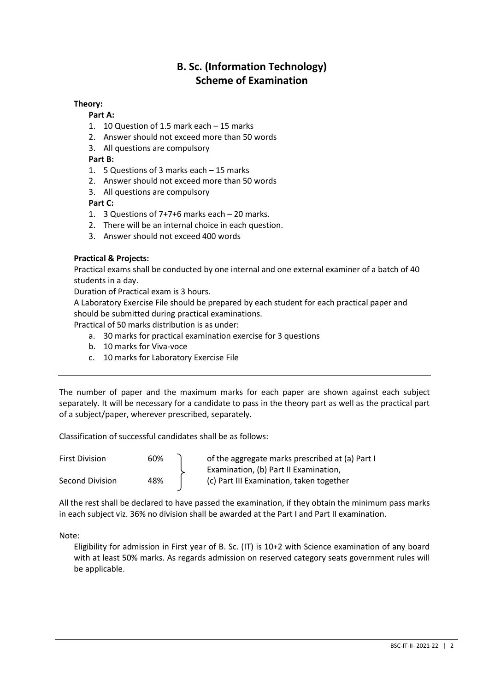# **B. Sc. (Information Technology) Scheme of Examination**

# **Theory:**

# **Part A:**

- 1. 10 Question of 1.5 mark each 15 marks
- 2. Answer should not exceed more than 50 words
- 3. All questions are compulsory

# **Part B:**

- 1. 5 Questions of 3 marks each 15 marks
- 2. Answer should not exceed more than 50 words
- 3. All questions are compulsory

# **Part C:**

- 1. 3 Questions of 7+7+6 marks each 20 marks.
- 2. There will be an internal choice in each question.
- 3. Answer should not exceed 400 words

# **Practical & Projects:**

Practical exams shall be conducted by one internal and one external examiner of a batch of 40 students in a day.

Duration of Practical exam is 3 hours.

A Laboratory Exercise File should be prepared by each student for each practical paper and should be submitted during practical examinations.

Practical of 50 marks distribution is as under:

- a. 30 marks for practical examination exercise for 3 questions
- b. 10 marks for Viva-voce
- c. 10 marks for Laboratory Exercise File

The number of paper and the maximum marks for each paper are shown against each subject separately. It will be necessary for a candidate to pass in the theory part as well as the practical part of a subject/paper, wherever prescribed, separately.

Classification of successful candidates shall be as follows:

| <b>First Division</b> | 60% | of the aggregate marks prescribed at (a) Part I |
|-----------------------|-----|-------------------------------------------------|
|                       |     | Examination, (b) Part II Examination,           |
| Second Division       | 48% | (c) Part III Examination, taken together        |

All the rest shall be declared to have passed the examination, if they obtain the minimum pass marks in each subject viz. 36% no division shall be awarded at the Part I and Part II examination.

Note:

Eligibility for admission in First year of B. Sc. (IT) is 10+2 with Science examination of any board with at least 50% marks. As regards admission on reserved category seats government rules will be applicable.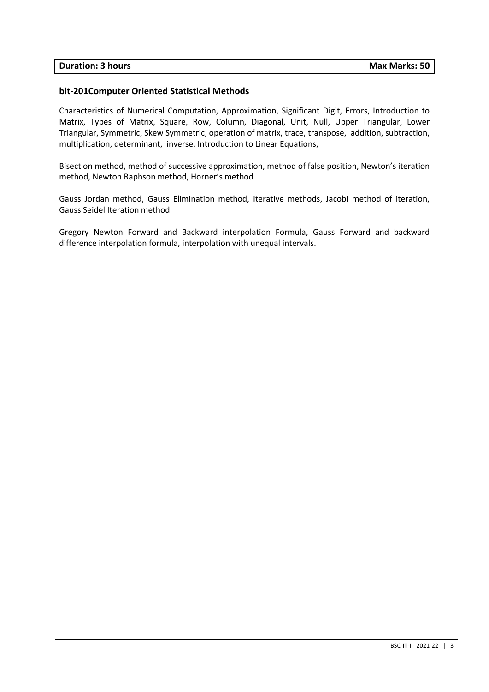| <b>Max Marks: 50</b> |
|----------------------|
|                      |

#### **bit-201Computer Oriented Statistical Methods**

Characteristics of Numerical Computation, Approximation, Significant Digit, Errors, Introduction to Matrix, Types of Matrix, Square, Row, Column, Diagonal, Unit, Null, Upper Triangular, Lower Triangular, Symmetric, Skew Symmetric, operation of matrix, trace, transpose, addition, subtraction, multiplication, determinant, inverse, Introduction to Linear Equations,

Bisection method, method of successive approximation, method of false position, Newton's iteration method, Newton Raphson method, Horner's method

Gauss Jordan method, Gauss Elimination method, Iterative methods, Jacobi method of iteration, Gauss Seidel Iteration method

Gregory Newton Forward and Backward interpolation Formula, Gauss Forward and backward difference interpolation formula, interpolation with unequal intervals.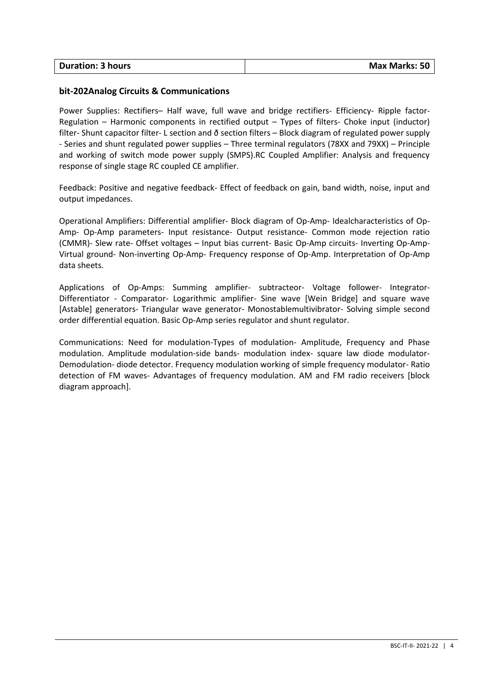| <b>Duration: 3 hours</b> | <b>Max Marks: 50</b> |
|--------------------------|----------------------|
|                          |                      |

# **bit-202Analog Circuits & Communications**

Power Supplies: Rectifiers– Half wave, full wave and bridge rectifiers- Efficiency- Ripple factor-Regulation – Harmonic components in rectified output – Types of filters- Choke input (inductor) filter- Shunt capacitor filter- L section and ð section filters – Block diagram of regulated power supply - Series and shunt regulated power supplies – Three terminal regulators (78XX and 79XX) – Principle and working of switch mode power supply (SMPS).RC Coupled Amplifier: Analysis and frequency response of single stage RC coupled CE amplifier.

Feedback: Positive and negative feedback- Effect of feedback on gain, band width, noise, input and output impedances.

Operational Amplifiers: Differential amplifier- Block diagram of Op-Amp- Idealcharacteristics of Op-Amp- Op-Amp parameters- Input resistance- Output resistance- Common mode rejection ratio (CMMR)- Slew rate- Offset voltages – Input bias current- Basic Op-Amp circuits- Inverting Op-Amp-Virtual ground- Non-inverting Op-Amp- Frequency response of Op-Amp. Interpretation of Op-Amp data sheets.

Applications of Op-Amps: Summing amplifier- subtracteor- Voltage follower- Integrator-Differentiator - Comparator- Logarithmic amplifier- Sine wave [Wein Bridge] and square wave [Astable] generators- Triangular wave generator- Monostablemultivibrator- Solving simple second order differential equation. Basic Op-Amp series regulator and shunt regulator.

Communications: Need for modulation-Types of modulation- Amplitude, Frequency and Phase modulation. Amplitude modulation-side bands- modulation index- square law diode modulator-Demodulation- diode detector. Frequency modulation working of simple frequency modulator- Ratio detection of FM waves- Advantages of frequency modulation. AM and FM radio receivers [block diagram approach].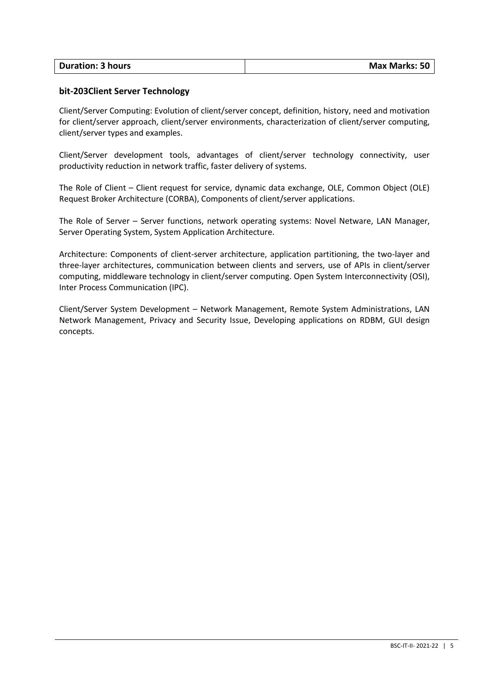| <b>Duration: 3 hours</b> | <b>Max Marks: 50</b> |
|--------------------------|----------------------|
|                          |                      |

#### **bit-203Client Server Technology**

Client/Server Computing: Evolution of client/server concept, definition, history, need and motivation for client/server approach, client/server environments, characterization of client/server computing, client/server types and examples.

Client/Server development tools, advantages of client/server technology connectivity, user productivity reduction in network traffic, faster delivery of systems.

The Role of Client – Client request for service, dynamic data exchange, OLE, Common Object (OLE) Request Broker Architecture (CORBA), Components of client/server applications.

The Role of Server – Server functions, network operating systems: Novel Netware, LAN Manager, Server Operating System, System Application Architecture.

Architecture: Components of client-server architecture, application partitioning, the two-layer and three-layer architectures, communication between clients and servers, use of APIs in client/server computing, middleware technology in client/server computing. Open System Interconnectivity (OSI), Inter Process Communication (IPC).

Client/Server System Development – Network Management, Remote System Administrations, LAN Network Management, Privacy and Security Issue, Developing applications on RDBM, GUI design concepts.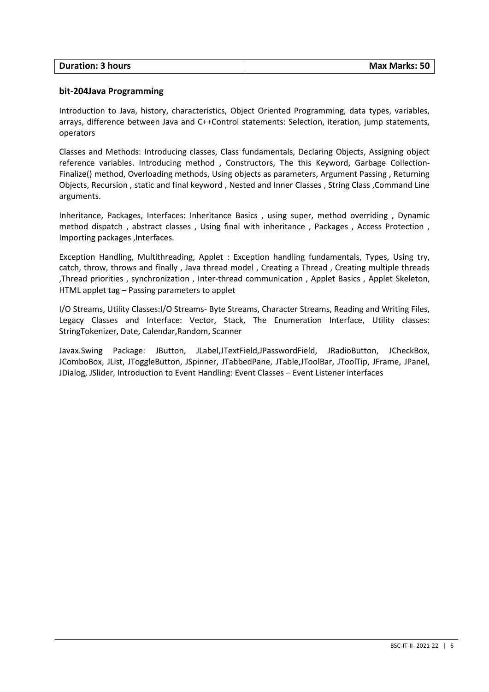| <b>Duration: 3 hours</b> | <b>Max Marks: 50</b> |
|--------------------------|----------------------|
|                          |                      |

#### **bit-204Java Programming**

Introduction to Java, history, characteristics, Object Oriented Programming, data types, variables, arrays, difference between Java and C++Control statements: Selection, iteration, jump statements, operators

Classes and Methods: Introducing classes, Class fundamentals, Declaring Objects, Assigning object reference variables. Introducing method , Constructors, The this Keyword, Garbage Collection-Finalize() method, Overloading methods, Using objects as parameters, Argument Passing , Returning Objects, Recursion , static and final keyword , Nested and Inner Classes , String Class ,Command Line arguments.

Inheritance, Packages, Interfaces: Inheritance Basics , using super, method overriding , Dynamic method dispatch , abstract classes , Using final with inheritance , Packages , Access Protection , Importing packages ,Interfaces.

Exception Handling, Multithreading, Applet : Exception handling fundamentals, Types, Using try, catch, throw, throws and finally , Java thread model , Creating a Thread , Creating multiple threads ,Thread priorities , synchronization , Inter-thread communication , Applet Basics , Applet Skeleton, HTML applet tag – Passing parameters to applet

I/O Streams, Utility Classes:I/O Streams- Byte Streams, Character Streams, Reading and Writing Files, Legacy Classes and Interface: Vector, Stack, The Enumeration Interface, Utility classes: StringTokenizer, Date, Calendar,Random, Scanner

Javax.Swing Package: JButton, JLabel,JTextField,JPasswordField, JRadioButton, JCheckBox, JComboBox, JList, JToggleButton, JSpinner, JTabbedPane, JTable,JToolBar, JToolTip, JFrame, JPanel, JDialog, JSlider, Introduction to Event Handling: Event Classes – Event Listener interfaces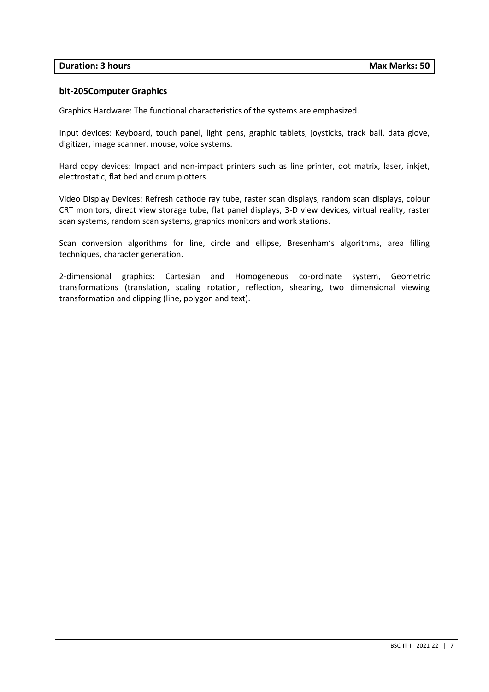| <b>Duration: 3 hours</b> | <b>Max Marks: 50</b> |
|--------------------------|----------------------|
|                          |                      |

#### **bit-205Computer Graphics**

Graphics Hardware: The functional characteristics of the systems are emphasized.

Input devices: Keyboard, touch panel, light pens, graphic tablets, joysticks, track ball, data glove, digitizer, image scanner, mouse, voice systems.

Hard copy devices: Impact and non-impact printers such as line printer, dot matrix, laser, inkjet, electrostatic, flat bed and drum plotters.

Video Display Devices: Refresh cathode ray tube, raster scan displays, random scan displays, colour CRT monitors, direct view storage tube, flat panel displays, 3-D view devices, virtual reality, raster scan systems, random scan systems, graphics monitors and work stations.

Scan conversion algorithms for line, circle and ellipse, Bresenham's algorithms, area filling techniques, character generation.

2-dimensional graphics: Cartesian and Homogeneous co-ordinate system, Geometric transformations (translation, scaling rotation, reflection, shearing, two dimensional viewing transformation and clipping (line, polygon and text).